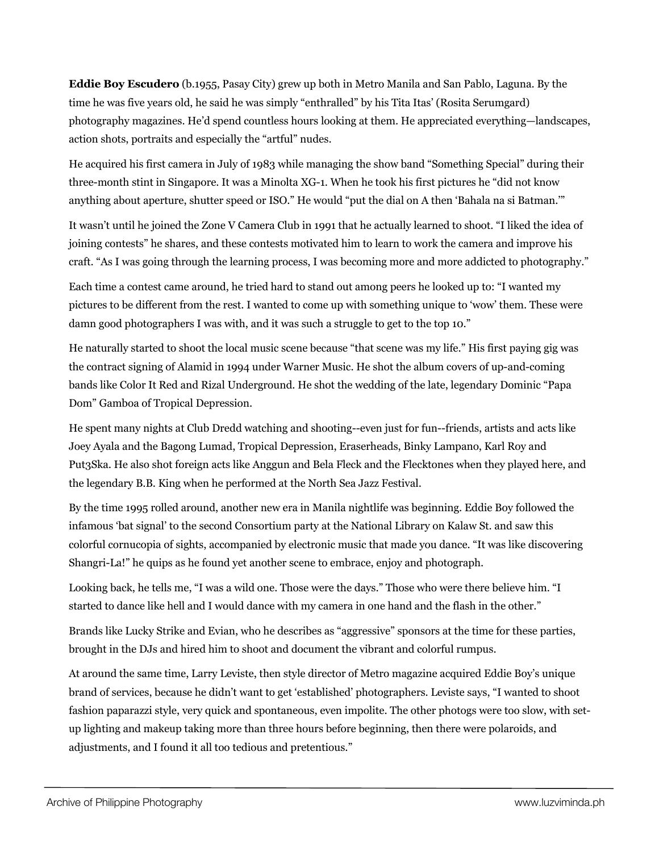**Eddie Boy Escudero** (b.1955, Pasay City) grew up both in Metro Manila and San Pablo, Laguna. By the time he was five years old, he said he was simply "enthralled" by his Tita Itas' (Rosita Serumgard) photography magazines. He'd spend countless hours looking at them. He appreciated everything—landscapes, action shots, portraits and especially the "artful" nudes.

He acquired his first camera in July of 1983 while managing the show band "Something Special" during their three-month stint in Singapore. It was a Minolta XG-1. When he took his first pictures he "did not know anything about aperture, shutter speed or ISO." He would "put the dial on A then 'Bahala na si Batman.'"

It wasn't until he joined the Zone V Camera Club in 1991 that he actually learned to shoot. "I liked the idea of joining contests" he shares, and these contests motivated him to learn to work the camera and improve his craft. "As I was going through the learning process, I was becoming more and more addicted to photography."

Each time a contest came around, he tried hard to stand out among peers he looked up to: "I wanted my pictures to be different from the rest. I wanted to come up with something unique to 'wow' them. These were damn good photographers I was with, and it was such a struggle to get to the top 10."

He naturally started to shoot the local music scene because "that scene was my life." His first paying gig was the contract signing of Alamid in 1994 under Warner Music. He shot the album covers of up-and-coming bands like Color It Red and Rizal Underground. He shot the wedding of the late, legendary Dominic "Papa Dom" Gamboa of Tropical Depression.

He spent many nights at Club Dredd watching and shooting--even just for fun--friends, artists and acts like Joey Ayala and the Bagong Lumad, Tropical Depression, Eraserheads, Binky Lampano, Karl Roy and Put3Ska. He also shot foreign acts like Anggun and Bela Fleck and the Flecktones when they played here, and the legendary B.B. King when he performed at the North Sea Jazz Festival.

By the time 1995 rolled around, another new era in Manila nightlife was beginning. Eddie Boy followed the infamous 'bat signal' to the second Consortium party at the National Library on Kalaw St. and saw this colorful cornucopia of sights, accompanied by electronic music that made you dance. "It was like discovering Shangri-La!" he quips as he found yet another scene to embrace, enjoy and photograph.

Looking back, he tells me, "I was a wild one. Those were the days." Those who were there believe him. "I started to dance like hell and I would dance with my camera in one hand and the flash in the other."

Brands like Lucky Strike and Evian, who he describes as "aggressive" sponsors at the time for these parties, brought in the DJs and hired him to shoot and document the vibrant and colorful rumpus.

At around the same time, Larry Leviste, then style director of Metro magazine acquired Eddie Boy's unique brand of services, because he didn't want to get 'established' photographers. Leviste says, "I wanted to shoot fashion paparazzi style, very quick and spontaneous, even impolite. The other photogs were too slow, with setup lighting and makeup taking more than three hours before beginning, then there were polaroids, and adjustments, and I found it all too tedious and pretentious."